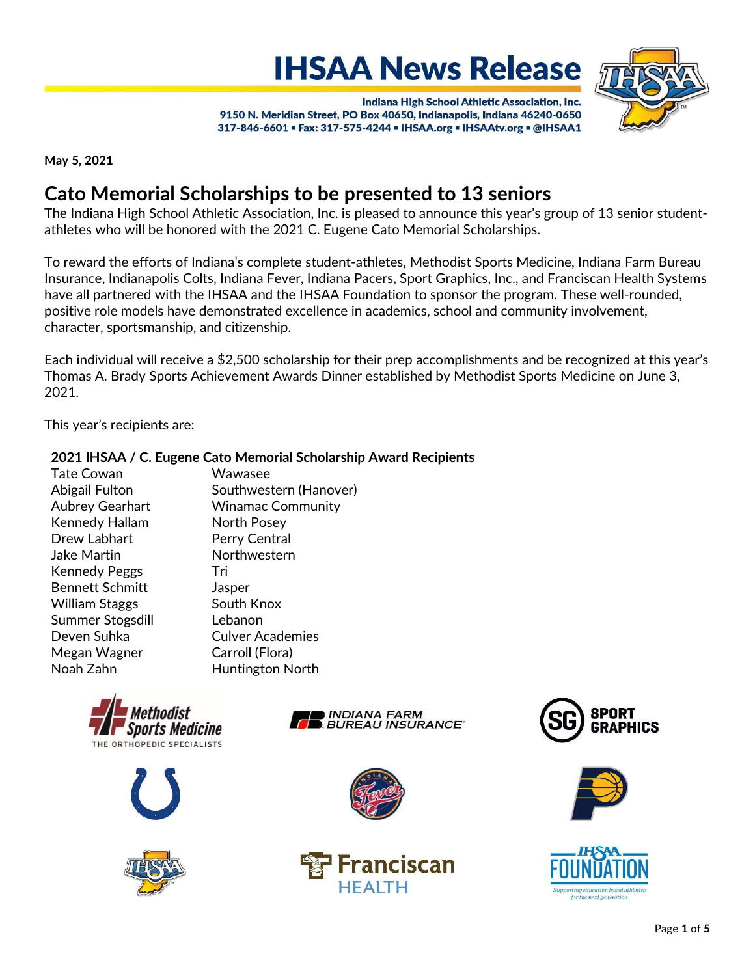# **IHSAA News Release**



Indiana High School Athletic Association, Inc. 9150 N. Meridian Street, PO Box 40650, Indianapolis, Indiana 46240-0650 317-846-6601 = Fax: 317-575-4244 = IHSAA.org = IHSAAtv.org = @IHSAA1

May 5, 2021

# Cato Memorial Scholarships to be presented to 13 seniors

The Indiana High School Athletic Association, Inc. is pleased to announce this year's group of 13 senior studentathletes who will be honored with the 2021 C. Eugene Cato Memorial Scholarships.

To reward the efforts of Indiana's complete student-athletes, Methodist Sports Medicine, Indiana Farm Bureau Insurance, Indianapolis Colts, Indiana Fever, Indiana Pacers, Sport Graphics, Inc., and Franciscan Health Systems have all partnered with the IHSAA and the IHSAA Foundation to sponsor the program. These well-rounded, positive role models have demonstrated excellence in academics, school and community involvement, character, sportsmanship, and citizenship.

Each individual will receive a \$2,500 scholarship for their prep accomplishments and be recognized at this year's Thomas A. Brady Sports Achievement Awards Dinner established by Methodist Sports Medicine on June 3, 2021.

This year's recipients are:

## 2021 IHSAA / C. Eugene Cato Memorial Scholarship Award Recipients

- Tate Cowan Wawasee Kennedy Hallam North Posey Drew Labhart Perry Central Jake Martin Northwestern Kennedy Peggs Tri Bennett Schmitt Jasper William Staggs South Knox Summer Stogsdill Lebanon Deven Suhka<br>
Culver Academies Megan Wagner Carroll (Flora) Noah Zahn Huntington North
- Abigail Fulton Southwestern (Hanover) Aubrey Gearhart Winamac Community

















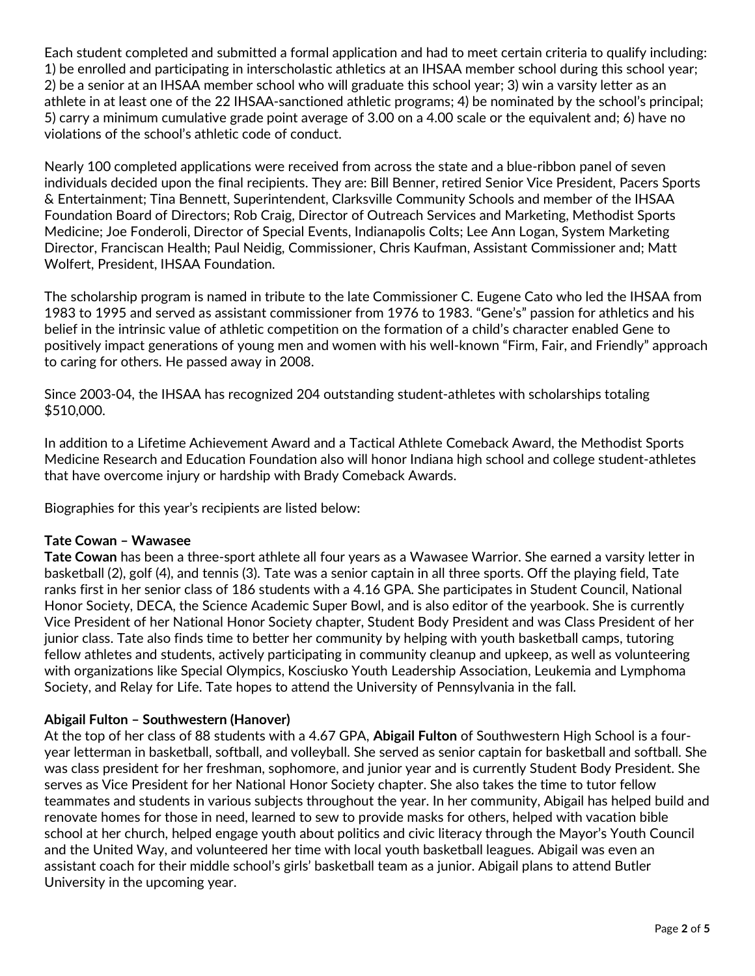Each student completed and submitted a formal application and had to meet certain criteria to qualify including: 1) be enrolled and participating in interscholastic athletics at an IHSAA member school during this school year; 2) be a senior at an IHSAA member school who will graduate this school year; 3) win a varsity letter as an athlete in at least one of the 22 IHSAA-sanctioned athletic programs; 4) be nominated by the school's principal; 5) carry a minimum cumulative grade point average of 3.00 on a 4.00 scale or the equivalent and; 6) have no violations of the school's athletic code of conduct.

Nearly 100 completed applications were received from across the state and a blue-ribbon panel of seven individuals decided upon the final recipients. They are: Bill Benner, retired Senior Vice President, Pacers Sports & Entertainment; Tina Bennett, Superintendent, Clarksville Community Schools and member of the IHSAA Foundation Board of Directors; Rob Craig, Director of Outreach Services and Marketing, Methodist Sports Medicine; Joe Fonderoli, Director of Special Events, Indianapolis Colts; Lee Ann Logan, System Marketing Director, Franciscan Health; Paul Neidig, Commissioner, Chris Kaufman, Assistant Commissioner and; Matt Wolfert, President, IHSAA Foundation.

The scholarship program is named in tribute to the late Commissioner C. Eugene Cato who led the IHSAA from 1983 to 1995 and served as assistant commissioner from 1976 to 1983. "Gene's" passion for athletics and his belief in the intrinsic value of athletic competition on the formation of a child's character enabled Gene to positively impact generations of young men and women with his well-known "Firm, Fair, and Friendly" approach to caring for others. He passed away in 2008.

Since 2003-04, the IHSAA has recognized 204 outstanding student-athletes with scholarships totaling \$510,000.

In addition to a Lifetime Achievement Award and a Tactical Athlete Comeback Award, the Methodist Sports Medicine Research and Education Foundation also will honor Indiana high school and college student-athletes that have overcome injury or hardship with Brady Comeback Awards.

Biographies for this year's recipients are listed below:

# Tate Cowan – Wawasee

Tate Cowan has been a three-sport athlete all four years as a Wawasee Warrior. She earned a varsity letter in basketball (2), golf (4), and tennis (3). Tate was a senior captain in all three sports. Off the playing field, Tate ranks first in her senior class of 186 students with a 4.16 GPA. She participates in Student Council, National Honor Society, DECA, the Science Academic Super Bowl, and is also editor of the yearbook. She is currently Vice President of her National Honor Society chapter, Student Body President and was Class President of her junior class. Tate also finds time to better her community by helping with youth basketball camps, tutoring fellow athletes and students, actively participating in community cleanup and upkeep, as well as volunteering with organizations like Special Olympics, Kosciusko Youth Leadership Association, Leukemia and Lymphoma Society, and Relay for Life. Tate hopes to attend the University of Pennsylvania in the fall.

# Abigail Fulton – Southwestern (Hanover)

At the top of her class of 88 students with a 4.67 GPA, Abigail Fulton of Southwestern High School is a fouryear letterman in basketball, softball, and volleyball. She served as senior captain for basketball and softball. She was class president for her freshman, sophomore, and junior year and is currently Student Body President. She serves as Vice President for her National Honor Society chapter. She also takes the time to tutor fellow teammates and students in various subjects throughout the year. In her community, Abigail has helped build and renovate homes for those in need, learned to sew to provide masks for others, helped with vacation bible school at her church, helped engage youth about politics and civic literacy through the Mayor's Youth Council and the United Way, and volunteered her time with local youth basketball leagues. Abigail was even an assistant coach for their middle school's girls' basketball team as a junior. Abigail plans to attend Butler University in the upcoming year.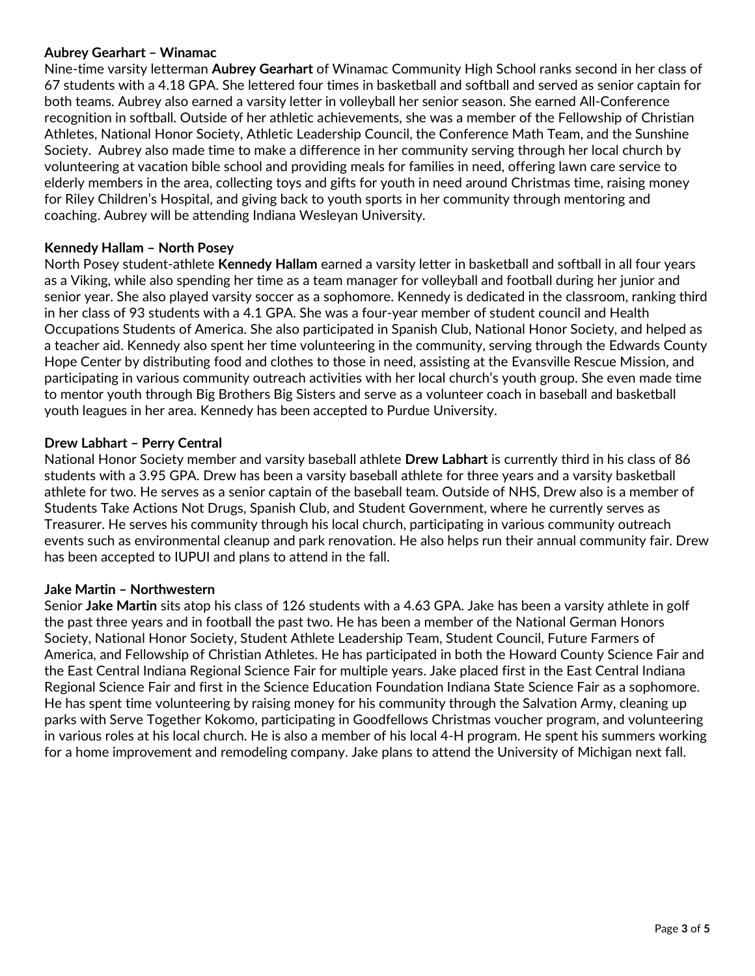#### Aubrey Gearhart – Winamac

Nine-time varsity letterman Aubrey Gearhart of Winamac Community High School ranks second in her class of 67 students with a 4.18 GPA. She lettered four times in basketball and softball and served as senior captain for both teams. Aubrey also earned a varsity letter in volleyball her senior season. She earned All-Conference recognition in softball. Outside of her athletic achievements, she was a member of the Fellowship of Christian Athletes, National Honor Society, Athletic Leadership Council, the Conference Math Team, and the Sunshine Society. Aubrey also made time to make a difference in her community serving through her local church by volunteering at vacation bible school and providing meals for families in need, offering lawn care service to elderly members in the area, collecting toys and gifts for youth in need around Christmas time, raising money for Riley Children's Hospital, and giving back to youth sports in her community through mentoring and coaching. Aubrey will be attending Indiana Wesleyan University.

#### Kennedy Hallam – North Posey

North Posey student-athlete Kennedy Hallam earned a varsity letter in basketball and softball in all four years as a Viking, while also spending her time as a team manager for volleyball and football during her junior and senior year. She also played varsity soccer as a sophomore. Kennedy is dedicated in the classroom, ranking third in her class of 93 students with a 4.1 GPA. She was a four-year member of student council and Health Occupations Students of America. She also participated in Spanish Club, National Honor Society, and helped as a teacher aid. Kennedy also spent her time volunteering in the community, serving through the Edwards County Hope Center by distributing food and clothes to those in need, assisting at the Evansville Rescue Mission, and participating in various community outreach activities with her local church's youth group. She even made time to mentor youth through Big Brothers Big Sisters and serve as a volunteer coach in baseball and basketball youth leagues in her area. Kennedy has been accepted to Purdue University.

#### Drew Labhart – Perry Central

National Honor Society member and varsity baseball athlete Drew Labhart is currently third in his class of 86 students with a 3.95 GPA. Drew has been a varsity baseball athlete for three years and a varsity basketball athlete for two. He serves as a senior captain of the baseball team. Outside of NHS, Drew also is a member of Students Take Actions Not Drugs, Spanish Club, and Student Government, where he currently serves as Treasurer. He serves his community through his local church, participating in various community outreach events such as environmental cleanup and park renovation. He also helps run their annual community fair. Drew has been accepted to IUPUI and plans to attend in the fall.

#### Jake Martin – Northwestern

Senior Jake Martin sits atop his class of 126 students with a 4.63 GPA. Jake has been a varsity athlete in golf the past three years and in football the past two. He has been a member of the National German Honors Society, National Honor Society, Student Athlete Leadership Team, Student Council, Future Farmers of America, and Fellowship of Christian Athletes. He has participated in both the Howard County Science Fair and the East Central Indiana Regional Science Fair for multiple years. Jake placed first in the East Central Indiana Regional Science Fair and first in the Science Education Foundation Indiana State Science Fair as a sophomore. He has spent time volunteering by raising money for his community through the Salvation Army, cleaning up parks with Serve Together Kokomo, participating in Goodfellows Christmas voucher program, and volunteering in various roles at his local church. He is also a member of his local 4-H program. He spent his summers working for a home improvement and remodeling company. Jake plans to attend the University of Michigan next fall.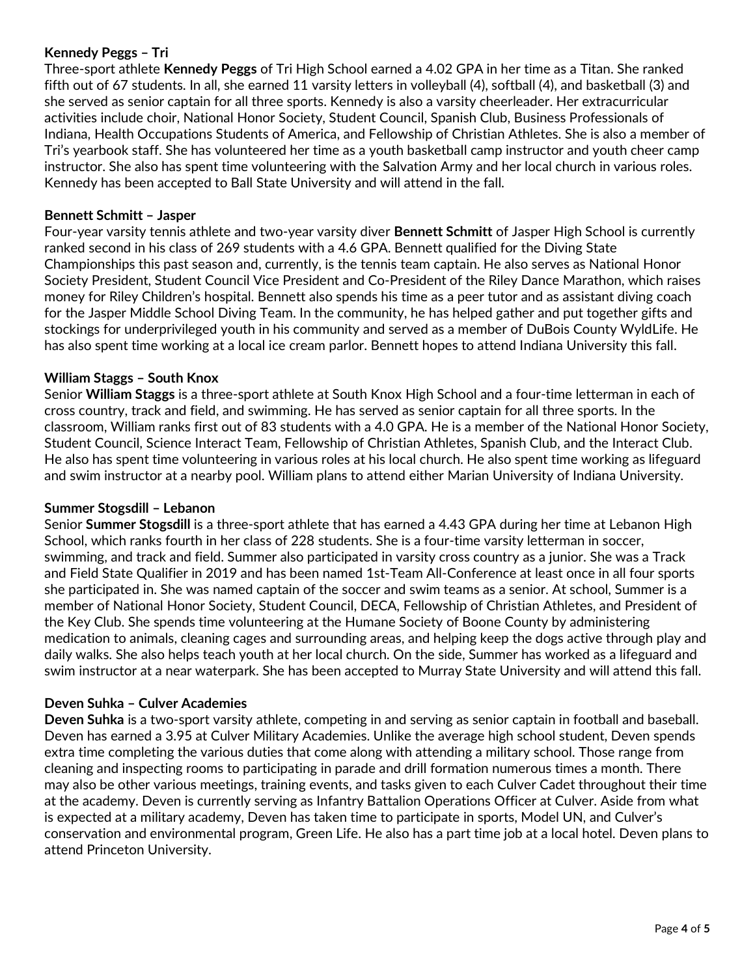### Kennedy Peggs – Tri

Three-sport athlete Kennedy Peggs of Tri High School earned a 4.02 GPA in her time as a Titan. She ranked fifth out of 67 students. In all, she earned 11 varsity letters in volleyball (4), softball (4), and basketball (3) and she served as senior captain for all three sports. Kennedy is also a varsity cheerleader. Her extracurricular activities include choir, National Honor Society, Student Council, Spanish Club, Business Professionals of Indiana, Health Occupations Students of America, and Fellowship of Christian Athletes. She is also a member of Tri's yearbook staff. She has volunteered her time as a youth basketball camp instructor and youth cheer camp instructor. She also has spent time volunteering with the Salvation Army and her local church in various roles. Kennedy has been accepted to Ball State University and will attend in the fall.

### Bennett Schmitt – Jasper

Four-year varsity tennis athlete and two-year varsity diver Bennett Schmitt of Jasper High School is currently ranked second in his class of 269 students with a 4.6 GPA. Bennett qualified for the Diving State Championships this past season and, currently, is the tennis team captain. He also serves as National Honor Society President, Student Council Vice President and Co-President of the Riley Dance Marathon, which raises money for Riley Children's hospital. Bennett also spends his time as a peer tutor and as assistant diving coach for the Jasper Middle School Diving Team. In the community, he has helped gather and put together gifts and stockings for underprivileged youth in his community and served as a member of DuBois County WyldLife. He has also spent time working at a local ice cream parlor. Bennett hopes to attend Indiana University this fall.

#### William Staggs – South Knox

Senior William Staggs is a three-sport athlete at South Knox High School and a four-time letterman in each of cross country, track and field, and swimming. He has served as senior captain for all three sports. In the classroom, William ranks first out of 83 students with a 4.0 GPA. He is a member of the National Honor Society, Student Council, Science Interact Team, Fellowship of Christian Athletes, Spanish Club, and the Interact Club. He also has spent time volunteering in various roles at his local church. He also spent time working as lifeguard and swim instructor at a nearby pool. William plans to attend either Marian University of Indiana University.

#### Summer Stogsdill – Lebanon

Senior Summer Stogsdill is a three-sport athlete that has earned a 4.43 GPA during her time at Lebanon High School, which ranks fourth in her class of 228 students. She is a four-time varsity letterman in soccer, swimming, and track and field. Summer also participated in varsity cross country as a junior. She was a Track and Field State Qualifier in 2019 and has been named 1st-Team All-Conference at least once in all four sports she participated in. She was named captain of the soccer and swim teams as a senior. At school, Summer is a member of National Honor Society, Student Council, DECA, Fellowship of Christian Athletes, and President of the Key Club. She spends time volunteering at the Humane Society of Boone County by administering medication to animals, cleaning cages and surrounding areas, and helping keep the dogs active through play and daily walks. She also helps teach youth at her local church. On the side, Summer has worked as a lifeguard and swim instructor at a near waterpark. She has been accepted to Murray State University and will attend this fall.

#### Deven Suhka – Culver Academies

Deven Suhka is a two-sport varsity athlete, competing in and serving as senior captain in football and baseball. Deven has earned a 3.95 at Culver Military Academies. Unlike the average high school student, Deven spends extra time completing the various duties that come along with attending a military school. Those range from cleaning and inspecting rooms to participating in parade and drill formation numerous times a month. There may also be other various meetings, training events, and tasks given to each Culver Cadet throughout their time at the academy. Deven is currently serving as Infantry Battalion Operations Officer at Culver. Aside from what is expected at a military academy, Deven has taken time to participate in sports, Model UN, and Culver's conservation and environmental program, Green Life. He also has a part time job at a local hotel. Deven plans to attend Princeton University.